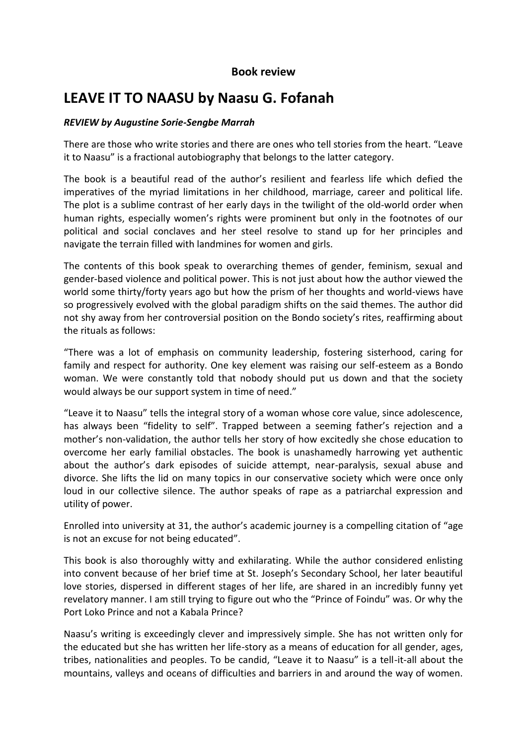## **Book review**

## **LEAVE IT TO NAASU by Naasu G. Fofanah**

## *REVIEW by Augustine Sorie-Sengbe Marrah*

There are those who write stories and there are ones who tell stories from the heart. "Leave it to Naasu" is a fractional autobiography that belongs to the latter category.

The book is a beautiful read of the author's resilient and fearless life which defied the imperatives of the myriad limitations in her childhood, marriage, career and political life. The plot is a sublime contrast of her early days in the twilight of the old-world order when human rights, especially women's rights were prominent but only in the footnotes of our political and social conclaves and her steel resolve to stand up for her principles and navigate the terrain filled with landmines for women and girls.

The contents of this book speak to overarching themes of gender, feminism, sexual and gender-based violence and political power. This is not just about how the author viewed the world some thirty/forty years ago but how the prism of her thoughts and world-views have so progressively evolved with the global paradigm shifts on the said themes. The author did not shy away from her controversial position on the Bondo society's rites, reaffirming about the rituals as follows:

"There was a lot of emphasis on community leadership, fostering sisterhood, caring for family and respect for authority. One key element was raising our self-esteem as a Bondo woman. We were constantly told that nobody should put us down and that the society would always be our support system in time of need."

"Leave it to Naasu" tells the integral story of a woman whose core value, since adolescence, has always been "fidelity to self". Trapped between a seeming father's rejection and a mother's non-validation, the author tells her story of how excitedly she chose education to overcome her early familial obstacles. The book is unashamedly harrowing yet authentic about the author's dark episodes of suicide attempt, near-paralysis, sexual abuse and divorce. She lifts the lid on many topics in our conservative society which were once only loud in our collective silence. The author speaks of rape as a patriarchal expression and utility of power.

Enrolled into university at 31, the author's academic journey is a compelling citation of "age is not an excuse for not being educated".

This book is also thoroughly witty and exhilarating. While the author considered enlisting into convent because of her brief time at St. Joseph's Secondary School, her later beautiful love stories, dispersed in different stages of her life, are shared in an incredibly funny yet revelatory manner. I am still trying to figure out who the "Prince of Foindu" was. Or why the Port Loko Prince and not a Kabala Prince?

Naasu's writing is exceedingly clever and impressively simple. She has not written only for the educated but she has written her life-story as a means of education for all gender, ages, tribes, nationalities and peoples. To be candid, "Leave it to Naasu" is a tell-it-all about the mountains, valleys and oceans of difficulties and barriers in and around the way of women.